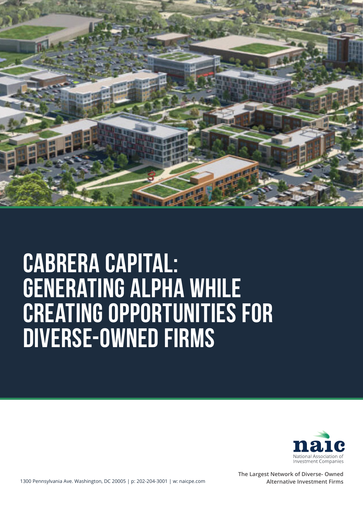

## **CABRERA CAPITAL: GENERATING ALPHA WHILE CREATING OPPORTUNITIES FOR DIVERSE-OWNED FIRMS**



**The Largest Network of Diverse- Owned Alternative Investment Firms**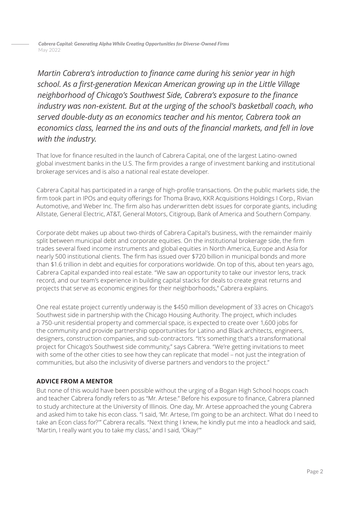*Cabrera Capital: Generating Alpha While Creating Opportunities for Diverse-Owned Firms* May 2022

*Martin Cabrera's introduction to finance came during his senior year in high school. As a first-generation Mexican American growing up in the Little Village neighborhood of Chicago's Southwest Side, Cabrera's exposure to the finance industry was non-existent. But at the urging of the school's basketball coach, who served double-duty as an economics teacher and his mentor, Cabrera took an economics class, learned the ins and outs of the financial markets, and fell in love with the industry.* 

That love for finance resulted in the launch of Cabrera Capital, one of the largest Latino-owned global investment banks in the U.S. The firm provides a range of investment banking and institutional brokerage services and is also a national real estate developer.

Cabrera Capital has participated in a range of high-profile transactions. On the public markets side, the firm took part in IPOs and equity offerings for Thoma Bravo, KKR Acquisitions Holdings I Corp., Rivian Automotive, and Weber Inc. The firm also has underwritten debt issues for corporate giants, including Allstate, General Electric, AT&T, General Motors, Citigroup, Bank of America and Southern Company.

Corporate debt makes up about two-thirds of Cabrera Capital's business, with the remainder mainly split between municipal debt and corporate equities. On the institutional brokerage side, the firm trades several fixed income instruments and global equities in North America, Europe and Asia for nearly 500 institutional clients. The firm has issued over \$720 billion in municipal bonds and more than \$1.6 trillion in debt and equities for corporations worldwide. On top of this, about ten years ago, Cabrera Capital expanded into real estate. "We saw an opportunity to take our investor lens, track record, and our team's experience in building capital stacks for deals to create great returns and projects that serve as economic engines for their neighborhoods," Cabrera explains.

One real estate project currently underway is the \$450 million development of 33 acres on Chicago's Southwest side in partnership with the Chicago Housing Authority. The project, which includes a 750-unit residential property and commercial space, is expected to create over 1,600 jobs for the community and provide partnership opportunities for Latino and Black architects, engineers, designers, construction companies, and sub-contractors. "It's something that's a transformational project for Chicago's Southwest side community," says Cabrera. "We're getting invitations to meet with some of the other cities to see how they can replicate that model – not just the integration of communities, but also the inclusivity of diverse partners and vendors to the project."

## **ADVICE FROM A MENTOR**

But none of this would have been possible without the urging of a Bogan High School hoops coach and teacher Cabrera fondly refers to as "Mr. Artese." Before his exposure to finance, Cabrera planned to study architecture at the University of Illinois. One day, Mr. Artese approached the young Cabrera and asked him to take his econ class. "I said, 'Mr. Artese, I'm going to be an architect. What do I need to take an Econ class for?'" Cabrera recalls. "Next thing I knew, he kindly put me into a headlock and said, 'Martin, I really want you to take my class,' and I said, 'Okay!'"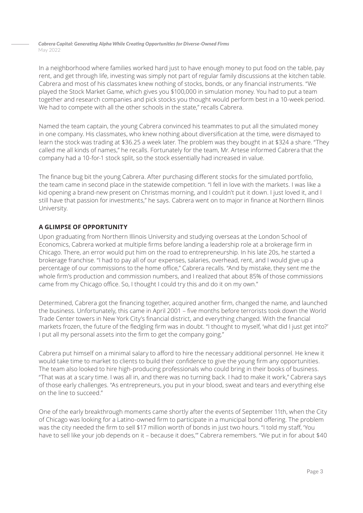*Cabrera Capital: Generating Alpha While Creating Opportunities for Diverse-Owned Firms* May 2022

In a neighborhood where families worked hard just to have enough money to put food on the table, pay rent, and get through life, investing was simply not part of regular family discussions at the kitchen table. Cabrera and most of his classmates knew nothing of stocks, bonds, or any financial instruments. "We played the Stock Market Game, which gives you \$100,000 in simulation money. You had to put a team together and research companies and pick stocks you thought would perform best in a 10-week period. We had to compete with all the other schools in the state," recalls Cabrera.

Named the team captain, the young Cabrera convinced his teammates to put all the simulated money in one company. His classmates, who knew nothing about diversification at the time, were dismayed to learn the stock was trading at \$36.25 a week later. The problem was they bought in at \$324 a share. "They called me all kinds of names," he recalls. Fortunately for the team, Mr. Artese informed Cabrera that the company had a 10-for-1 stock split, so the stock essentially had increased in value.

The finance bug bit the young Cabrera. After purchasing different stocks for the simulated portfolio, the team came in second place in the statewide competition. "I fell in love with the markets. I was like a kid opening a brand-new present on Christmas morning, and I couldn't put it down. I just loved it, and I still have that passion for investments," he says. Cabrera went on to major in finance at Northern Illinois University.

## **A GLIMPSE OF OPPORTUNITY**

Upon graduating from Northern Illinois University and studying overseas at the London School of Economics, Cabrera worked at multiple firms before landing a leadership role at a brokerage firm in Chicago. There, an error would put him on the road to entrepreneurship. In his late 20s, he started a brokerage franchise. "I had to pay all of our expenses, salaries, overhead, rent, and I would give up a percentage of our commissions to the home office," Cabrera recalls. "And by mistake, they sent me the whole firm's production and commission numbers, and I realized that about 85% of those commissions came from my Chicago office. So, I thought I could try this and do it on my own."

Determined, Cabrera got the financing together, acquired another firm, changed the name, and launched the business. Unfortunately, this came in April 2001 – five months before terrorists took down the World Trade Center towers in New York City's financial district, and everything changed. With the financial markets frozen, the future of the fledgling firm was in doubt. "I thought to myself, 'what did I just get into?' I put all my personal assets into the firm to get the company going."

Cabrera put himself on a minimal salary to afford to hire the necessary additional personnel. He knew it would take time to market to clients to build their confidence to give the young firm any opportunities. The team also looked to hire high-producing professionals who could bring in their books of business. "That was at a scary time. I was all in, and there was no turning back. I had to make it work," Cabrera says of those early challenges. "As entrepreneurs, you put in your blood, sweat and tears and everything else on the line to succeed."

One of the early breakthrough moments came shortly after the events of September 11th, when the City of Chicago was looking for a Latino-owned firm to participate in a municipal bond offering. The problem was the city needed the firm to sell \$17 million worth of bonds in just two hours. "I told my staff, 'You have to sell like your job depends on it – because it does,"" Cabrera remembers. "We put in for about \$40